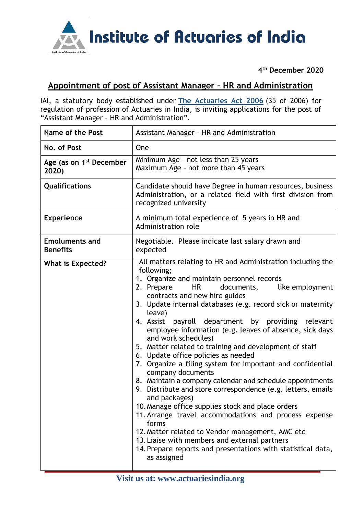

**4 th December 2020**

## **Appointment of post of Assistant Manager – HR and Administration**

IAI, a statutory body established under **[The Actuaries Act 2006](http://www.actuariesindia.org/guidance/scanned%20GN.pdf)** (35 of 2006) for regulation of profession of Actuaries in India, is inviting applications for the post of "Assistant Manager – HR and Administration".

| <b>Name of the Post</b>                      | Assistant Manager - HR and Administration                                                                                                                                                                                                                                                                                                                                                                                                                                                                                                                                                                                                                                                                                                                                                                                                                                                                                                                                                                                                                                            |
|----------------------------------------------|--------------------------------------------------------------------------------------------------------------------------------------------------------------------------------------------------------------------------------------------------------------------------------------------------------------------------------------------------------------------------------------------------------------------------------------------------------------------------------------------------------------------------------------------------------------------------------------------------------------------------------------------------------------------------------------------------------------------------------------------------------------------------------------------------------------------------------------------------------------------------------------------------------------------------------------------------------------------------------------------------------------------------------------------------------------------------------------|
| No. of Post                                  | One                                                                                                                                                                                                                                                                                                                                                                                                                                                                                                                                                                                                                                                                                                                                                                                                                                                                                                                                                                                                                                                                                  |
| Age (as on 1 <sup>st</sup> December<br>2020) | Minimum Age - not less than 25 years<br>Maximum Age - not more than 45 years                                                                                                                                                                                                                                                                                                                                                                                                                                                                                                                                                                                                                                                                                                                                                                                                                                                                                                                                                                                                         |
| Qualifications                               | Candidate should have Degree in human resources, business<br>Administration, or a related field with first division from<br>recognized university                                                                                                                                                                                                                                                                                                                                                                                                                                                                                                                                                                                                                                                                                                                                                                                                                                                                                                                                    |
| <b>Experience</b>                            | A minimum total experience of 5 years in HR and<br>Administration role                                                                                                                                                                                                                                                                                                                                                                                                                                                                                                                                                                                                                                                                                                                                                                                                                                                                                                                                                                                                               |
| <b>Emoluments and</b><br><b>Benefits</b>     | Negotiable. Please indicate last salary drawn and<br>expected                                                                                                                                                                                                                                                                                                                                                                                                                                                                                                                                                                                                                                                                                                                                                                                                                                                                                                                                                                                                                        |
| <b>What is Expected?</b>                     | All matters relating to HR and Administration including the<br>following;<br>1. Organize and maintain personnel records<br><b>HR</b><br>2. Prepare<br>documents,<br>like employment<br>contracts and new hire guides<br>3. Update internal databases (e.g. record sick or maternity<br>leave)<br>payroll department by providing relevant<br>4. Assist<br>employee information (e.g. leaves of absence, sick days<br>and work schedules)<br>5. Matter related to training and development of staff<br>6. Update office policies as needed<br>7. Organize a filing system for important and confidential<br>company documents<br>8. Maintain a company calendar and schedule appointments<br>9. Distribute and store correspondence (e.g. letters, emails<br>and packages)<br>10. Manage office supplies stock and place orders<br>11. Arrange travel accommodations and process expense<br>forms<br>12. Matter related to Vendor management, AMC etc<br>13. Liaise with members and external partners<br>14. Prepare reports and presentations with statistical data,<br>as assigned |